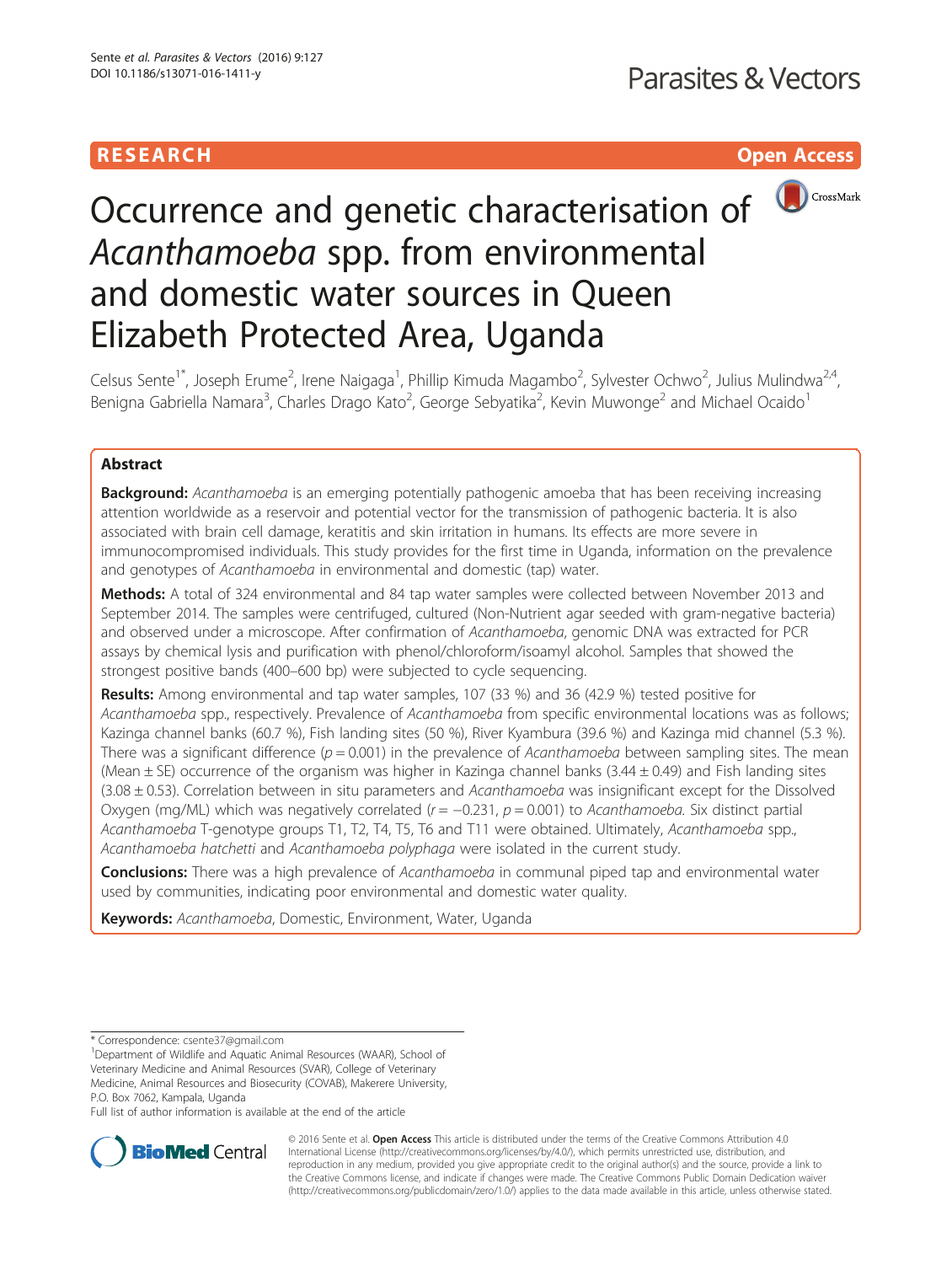# **RESEARCH CHE Open Access**



# Occurrence and genetic characterisation of Acanthamoeba spp. from environmental and domestic water sources in Queen Elizabeth Protected Area, Uganda

Celsus Sente<sup>1\*</sup>, Joseph Erume<sup>2</sup>, Irene Naigaga<sup>1</sup>, Phillip Kimuda Magambo<sup>2</sup>, Sylvester Ochwo<sup>2</sup>, Julius Mulindwa<sup>2,4</sup>, Benigna Gabriella Namara<sup>3</sup>, Charles Drago Kato<sup>2</sup>, George Sebyatika<sup>2</sup>, Kevin Muwonge<sup>2</sup> and Michael Ocaido<sup>1</sup>

## Abstract

**Background:** Acanthamoeba is an emerging potentially pathogenic amoeba that has been receiving increasing attention worldwide as a reservoir and potential vector for the transmission of pathogenic bacteria. It is also associated with brain cell damage, keratitis and skin irritation in humans. Its effects are more severe in immunocompromised individuals. This study provides for the first time in Uganda, information on the prevalence and genotypes of Acanthamoeba in environmental and domestic (tap) water.

Methods: A total of 324 environmental and 84 tap water samples were collected between November 2013 and September 2014. The samples were centrifuged, cultured (Non-Nutrient agar seeded with gram-negative bacteria) and observed under a microscope. After confirmation of Acanthamoeba, genomic DNA was extracted for PCR assays by chemical lysis and purification with phenol/chloroform/isoamyl alcohol. Samples that showed the strongest positive bands (400–600 bp) were subjected to cycle sequencing.

Results: Among environmental and tap water samples, 107 (33 %) and 36 (42.9 %) tested positive for Acanthamoeba spp., respectively. Prevalence of Acanthamoeba from specific environmental locations was as follows; Kazinga channel banks (60.7 %), Fish landing sites (50 %), River Kyambura (39.6 %) and Kazinga mid channel (5.3 %). There was a significant difference ( $p = 0.001$ ) in the prevalence of Acanthamoeba between sampling sites. The mean (Mean  $\pm$  SE) occurrence of the organism was higher in Kazinga channel banks (3.44  $\pm$  0.49) and Fish landing sites  $(3.08 \pm 0.53)$ . Correlation between in situ parameters and Acanthamoeba was insignificant except for the Dissolved Oxygen (mg/ML) which was negatively correlated ( $r = -0.231$ ,  $p = 0.001$ ) to Acanthamoeba. Six distinct partial Acanthamoeba T-genotype groups T1, T2, T4, T5, T6 and T11 were obtained. Ultimately, Acanthamoeba spp., Acanthamoeba hatchetti and Acanthamoeba polyphaga were isolated in the current study.

**Conclusions:** There was a high prevalence of Acanthamoeba in communal piped tap and environmental water used by communities, indicating poor environmental and domestic water quality.

Keywords: Acanthamoeba, Domestic, Environment, Water, Uganda

<sup>1</sup>Department of Wildlife and Aquatic Animal Resources (WAAR), School of Veterinary Medicine and Animal Resources (SVAR), College of Veterinary Medicine, Animal Resources and Biosecurity (COVAB), Makerere University,

P.O. Box 7062, Kampala, Uganda

Full list of author information is available at the end of the article



© 2016 Sente et al. Open Access This article is distributed under the terms of the Creative Commons Attribution 4.0 International License [\(http://creativecommons.org/licenses/by/4.0/](http://creativecommons.org/licenses/by/4.0/)), which permits unrestricted use, distribution, and reproduction in any medium, provided you give appropriate credit to the original author(s) and the source, provide a link to the Creative Commons license, and indicate if changes were made. The Creative Commons Public Domain Dedication waiver [\(http://creativecommons.org/publicdomain/zero/1.0/](http://creativecommons.org/publicdomain/zero/1.0/)) applies to the data made available in this article, unless otherwise stated.

<sup>\*</sup> Correspondence: [csente37@gmail.com](mailto:csente37@gmail.com) <sup>1</sup>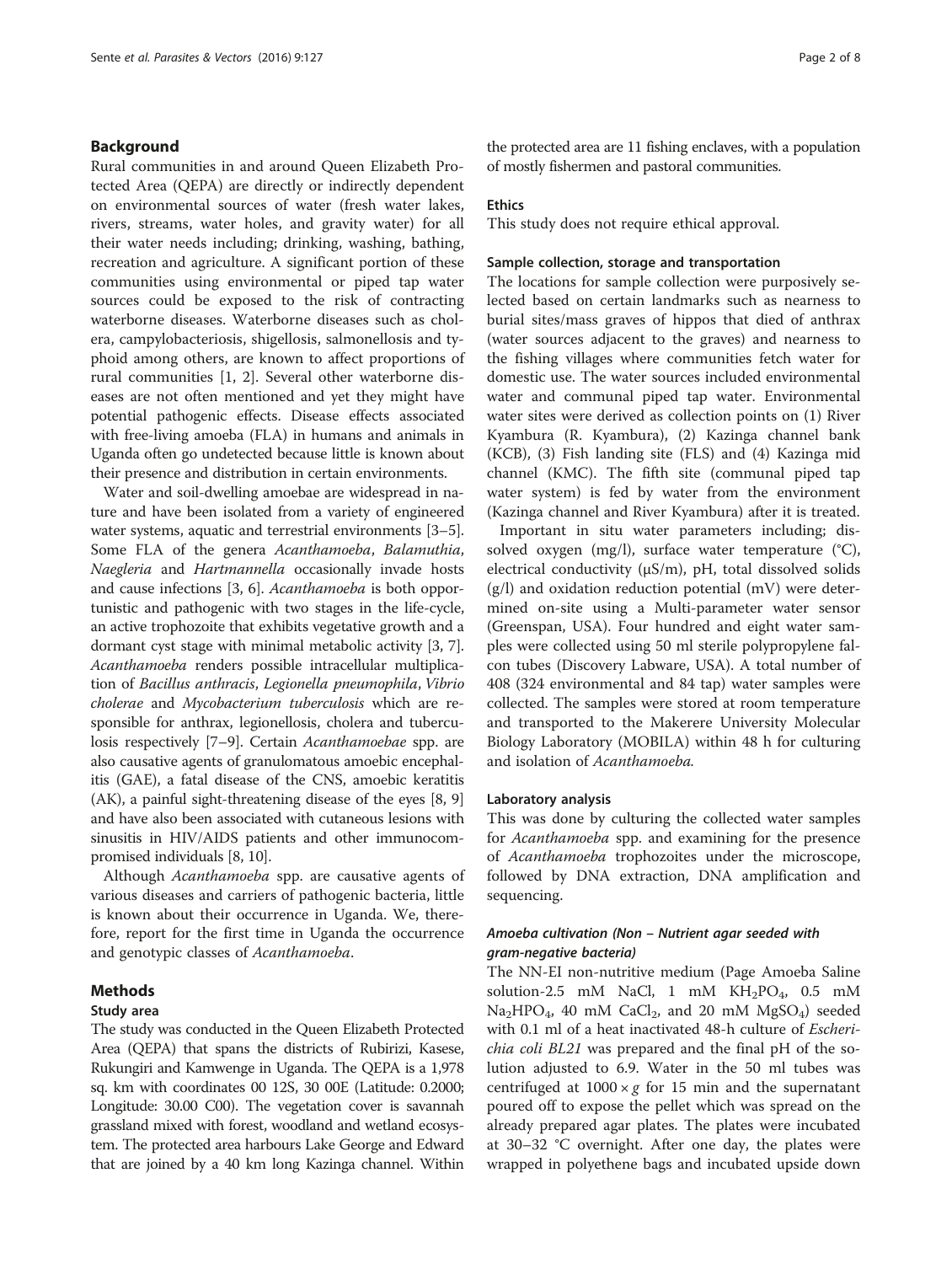## Background

Rural communities in and around Queen Elizabeth Protected Area (QEPA) are directly or indirectly dependent on environmental sources of water (fresh water lakes, rivers, streams, water holes, and gravity water) for all their water needs including; drinking, washing, bathing, recreation and agriculture. A significant portion of these communities using environmental or piped tap water sources could be exposed to the risk of contracting waterborne diseases. Waterborne diseases such as cholera, campylobacteriosis, shigellosis, salmonellosis and typhoid among others, are known to affect proportions of rural communities [[1, 2\]](#page-6-0). Several other waterborne diseases are not often mentioned and yet they might have potential pathogenic effects. Disease effects associated with free-living amoeba (FLA) in humans and animals in Uganda often go undetected because little is known about their presence and distribution in certain environments.

Water and soil-dwelling amoebae are widespread in nature and have been isolated from a variety of engineered water systems, aquatic and terrestrial environments [[3](#page-6-0)–[5](#page-6-0)]. Some FLA of the genera Acanthamoeba, Balamuthia, Naegleria and Hartmannella occasionally invade hosts and cause infections [\[3](#page-6-0), [6](#page-6-0)]. Acanthamoeba is both opportunistic and pathogenic with two stages in the life-cycle, an active trophozoite that exhibits vegetative growth and a dormant cyst stage with minimal metabolic activity [\[3](#page-6-0), [7](#page-6-0)]. Acanthamoeba renders possible intracellular multiplication of Bacillus anthracis, Legionella pneumophila, Vibrio cholerae and Mycobacterium tuberculosis which are responsible for anthrax, legionellosis, cholera and tuberculosis respectively [[7](#page-6-0)–[9](#page-6-0)]. Certain Acanthamoebae spp. are also causative agents of granulomatous amoebic encephalitis (GAE), a fatal disease of the CNS, amoebic keratitis (AK), a painful sight-threatening disease of the eyes [\[8](#page-6-0), [9](#page-6-0)] and have also been associated with cutaneous lesions with sinusitis in HIV/AIDS patients and other immunocompromised individuals [[8](#page-6-0), [10\]](#page-6-0).

Although Acanthamoeba spp. are causative agents of various diseases and carriers of pathogenic bacteria, little is known about their occurrence in Uganda. We, therefore, report for the first time in Uganda the occurrence and genotypic classes of Acanthamoeba.

## Methods

## Study area

The study was conducted in the Queen Elizabeth Protected Area (QEPA) that spans the districts of Rubirizi, Kasese, Rukungiri and Kamwenge in Uganda. The QEPA is a 1,978 sq. km with coordinates 00 12S, 30 00E (Latitude: 0.2000; Longitude: 30.00 C00). The vegetation cover is savannah grassland mixed with forest, woodland and wetland ecosystem. The protected area harbours Lake George and Edward that are joined by a 40 km long Kazinga channel. Within

the protected area are 11 fishing enclaves, with a population of mostly fishermen and pastoral communities.

#### **Ethics**

This study does not require ethical approval.

#### Sample collection, storage and transportation

The locations for sample collection were purposively selected based on certain landmarks such as nearness to burial sites/mass graves of hippos that died of anthrax (water sources adjacent to the graves) and nearness to the fishing villages where communities fetch water for domestic use. The water sources included environmental water and communal piped tap water. Environmental water sites were derived as collection points on (1) River Kyambura (R. Kyambura), (2) Kazinga channel bank (KCB), (3) Fish landing site (FLS) and (4) Kazinga mid channel (KMC). The fifth site (communal piped tap water system) is fed by water from the environment (Kazinga channel and River Kyambura) after it is treated.

Important in situ water parameters including; dissolved oxygen (mg/l), surface water temperature (°C), electrical conductivity  $(\mu S/m)$ , pH, total dissolved solids  $(g/l)$  and oxidation reduction potential  $(mV)$  were determined on-site using a Multi-parameter water sensor (Greenspan, USA). Four hundred and eight water samples were collected using 50 ml sterile polypropylene falcon tubes (Discovery Labware, USA). A total number of 408 (324 environmental and 84 tap) water samples were collected. The samples were stored at room temperature and transported to the Makerere University Molecular Biology Laboratory (MOBILA) within 48 h for culturing and isolation of Acanthamoeba.

## Laboratory analysis

This was done by culturing the collected water samples for Acanthamoeba spp. and examining for the presence of Acanthamoeba trophozoites under the microscope, followed by DNA extraction, DNA amplification and sequencing.

## Amoeba cultivation (Non – Nutrient agar seeded with gram-negative bacteria)

The NN-EI non-nutritive medium (Page Amoeba Saline solution-2.5 mM NaCl, 1 mM  $KH_2PO_4$ , 0.5 mM  $Na<sub>2</sub>HPO<sub>4</sub>$ , 40 mM CaCl<sub>2</sub>, and 20 mM MgSO<sub>4</sub>) seeded with 0.1 ml of a heat inactivated 48-h culture of *Escheri*chia coli BL21 was prepared and the final pH of the solution adjusted to 6.9. Water in the 50 ml tubes was centrifuged at  $1000 \times g$  for 15 min and the supernatant poured off to expose the pellet which was spread on the already prepared agar plates. The plates were incubated at 30–32 °C overnight. After one day, the plates were wrapped in polyethene bags and incubated upside down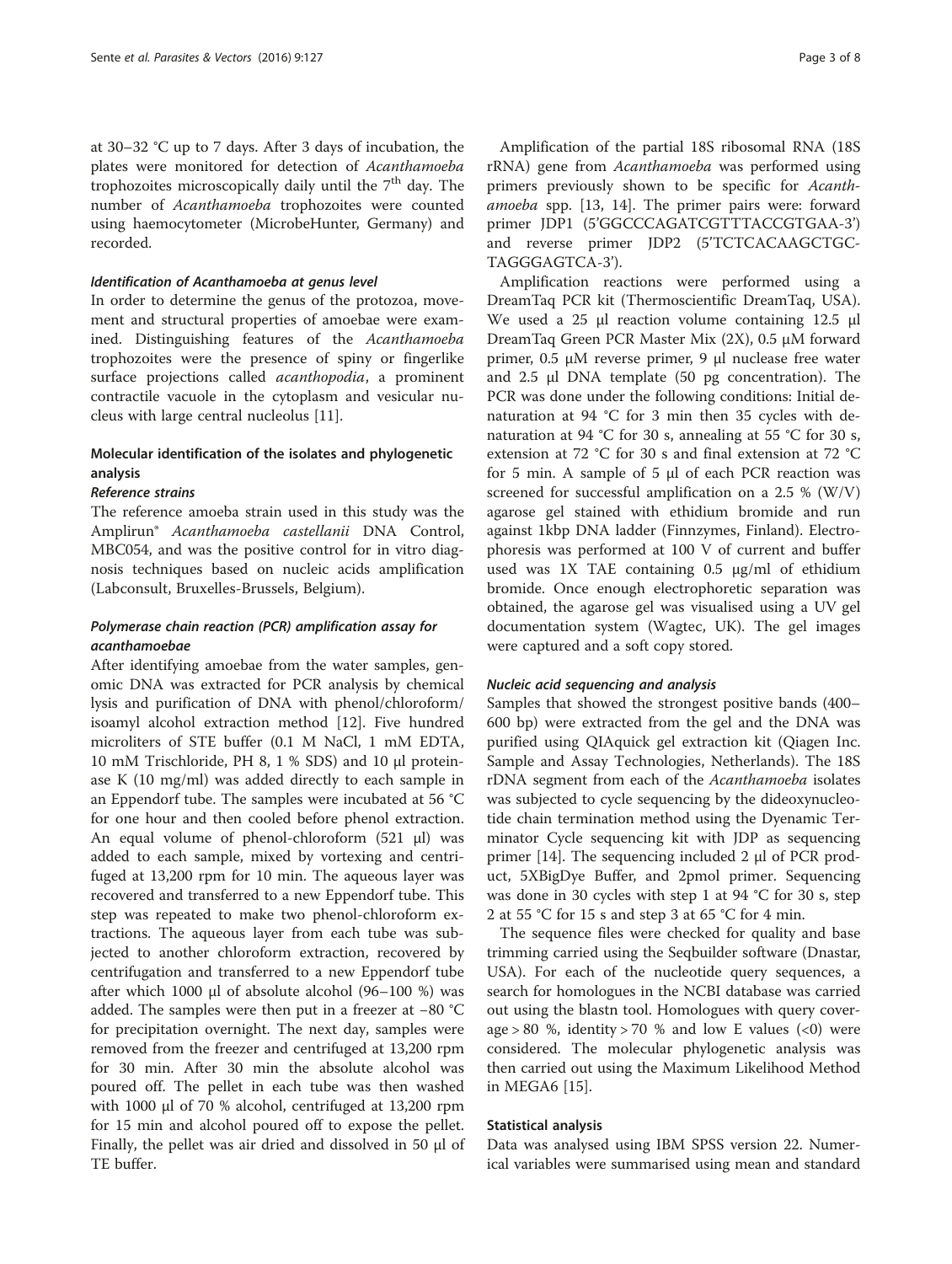at 30–32 °C up to 7 days. After 3 days of incubation, the plates were monitored for detection of Acanthamoeba trophozoites microscopically daily until the  $7<sup>th</sup>$  day. The number of Acanthamoeba trophozoites were counted using haemocytometer (MicrobeHunter, Germany) and recorded.

## Identification of Acanthamoeba at genus level

In order to determine the genus of the protozoa, movement and structural properties of amoebae were examined. Distinguishing features of the Acanthamoeba trophozoites were the presence of spiny or fingerlike surface projections called *acanthopodia*, a prominent contractile vacuole in the cytoplasm and vesicular nucleus with large central nucleolus [[11](#page-6-0)].

## Molecular identification of the isolates and phylogenetic analysis

#### Reference strains

The reference amoeba strain used in this study was the Amplirun® Acanthamoeba castellanii DNA Control, MBC054, and was the positive control for in vitro diagnosis techniques based on nucleic acids amplification (Labconsult, Bruxelles-Brussels, Belgium).

## Polymerase chain reaction (PCR) amplification assay for acanthamoebae

After identifying amoebae from the water samples, genomic DNA was extracted for PCR analysis by chemical lysis and purification of DNA with phenol/chloroform/ isoamyl alcohol extraction method [[12\]](#page-6-0). Five hundred microliters of STE buffer (0.1 M NaCl, 1 mM EDTA, 10 mM Trischloride, PH 8, 1 % SDS) and 10 μl proteinase K (10 mg/ml) was added directly to each sample in an Eppendorf tube. The samples were incubated at 56 °C for one hour and then cooled before phenol extraction. An equal volume of phenol-chloroform (521 μl) was added to each sample, mixed by vortexing and centrifuged at 13,200 rpm for 10 min. The aqueous layer was recovered and transferred to a new Eppendorf tube. This step was repeated to make two phenol-chloroform extractions. The aqueous layer from each tube was subjected to another chloroform extraction, recovered by centrifugation and transferred to a new Eppendorf tube after which 1000 μl of absolute alcohol (96–100 %) was added. The samples were then put in a freezer at −80 °C for precipitation overnight. The next day, samples were removed from the freezer and centrifuged at 13,200 rpm for 30 min. After 30 min the absolute alcohol was poured off. The pellet in each tube was then washed with 1000 μl of 70 % alcohol, centrifuged at 13,200 rpm for 15 min and alcohol poured off to expose the pellet. Finally, the pellet was air dried and dissolved in 50 μl of TE buffer.

Amplification of the partial 18S ribosomal RNA (18S rRNA) gene from Acanthamoeba was performed using primers previously shown to be specific for Acanthamoeba spp. [[13, 14\]](#page-6-0). The primer pairs were: forward primer JDP1 (5'GGCCCAGATCGTTTACCGTGAA-3') and reverse primer JDP2 (5'TCTCACAAGCTGC-TAGGGAGTCA-3').

Amplification reactions were performed using a DreamTaq PCR kit (Thermoscientific DreamTaq, USA). We used a 25 μl reaction volume containing 12.5 μl DreamTaq Green PCR Master Mix (2X), 0.5 μM forward primer, 0.5 μM reverse primer, 9 μl nuclease free water and 2.5 μl DNA template (50 pg concentration). The PCR was done under the following conditions: Initial denaturation at 94 °C for 3 min then 35 cycles with denaturation at 94 °C for 30 s, annealing at 55 °C for 30 s, extension at 72 °C for 30 s and final extension at 72 °C for 5 min. A sample of 5 μl of each PCR reaction was screened for successful amplification on a 2.5 % (W/V) agarose gel stained with ethidium bromide and run against 1kbp DNA ladder (Finnzymes, Finland). Electrophoresis was performed at 100 V of current and buffer used was 1X TAE containing 0.5 μg/ml of ethidium bromide. Once enough electrophoretic separation was obtained, the agarose gel was visualised using a UV gel documentation system (Wagtec, UK). The gel images were captured and a soft copy stored.

## Nucleic acid sequencing and analysis

Samples that showed the strongest positive bands (400– 600 bp) were extracted from the gel and the DNA was purified using QIAquick gel extraction kit (Qiagen Inc. Sample and Assay Technologies, Netherlands). The 18S rDNA segment from each of the Acanthamoeba isolates was subjected to cycle sequencing by the dideoxynucleotide chain termination method using the Dyenamic Terminator Cycle sequencing kit with JDP as sequencing primer [[14\]](#page-6-0). The sequencing included 2 μl of PCR product, 5ХBigDye Buffer, and 2pmol primer. Sequencing was done in 30 cycles with step 1 at 94 °C for 30 s, step 2 at 55 °C for 15 s and step 3 at 65 °C for 4 min.

The sequence files were checked for quality and base trimming carried using the Seqbuilder software (Dnastar, USA). For each of the nucleotide query sequences, a search for homologues in the NCBI database was carried out using the blastn tool. Homologues with query coverage  $> 80$  %, identity  $> 70$  % and low E values (<0) were considered. The molecular phylogenetic analysis was then carried out using the Maximum Likelihood Method in MEGA6 [[15](#page-6-0)].

#### Statistical analysis

Data was analysed using IBM SPSS version 22. Numerical variables were summarised using mean and standard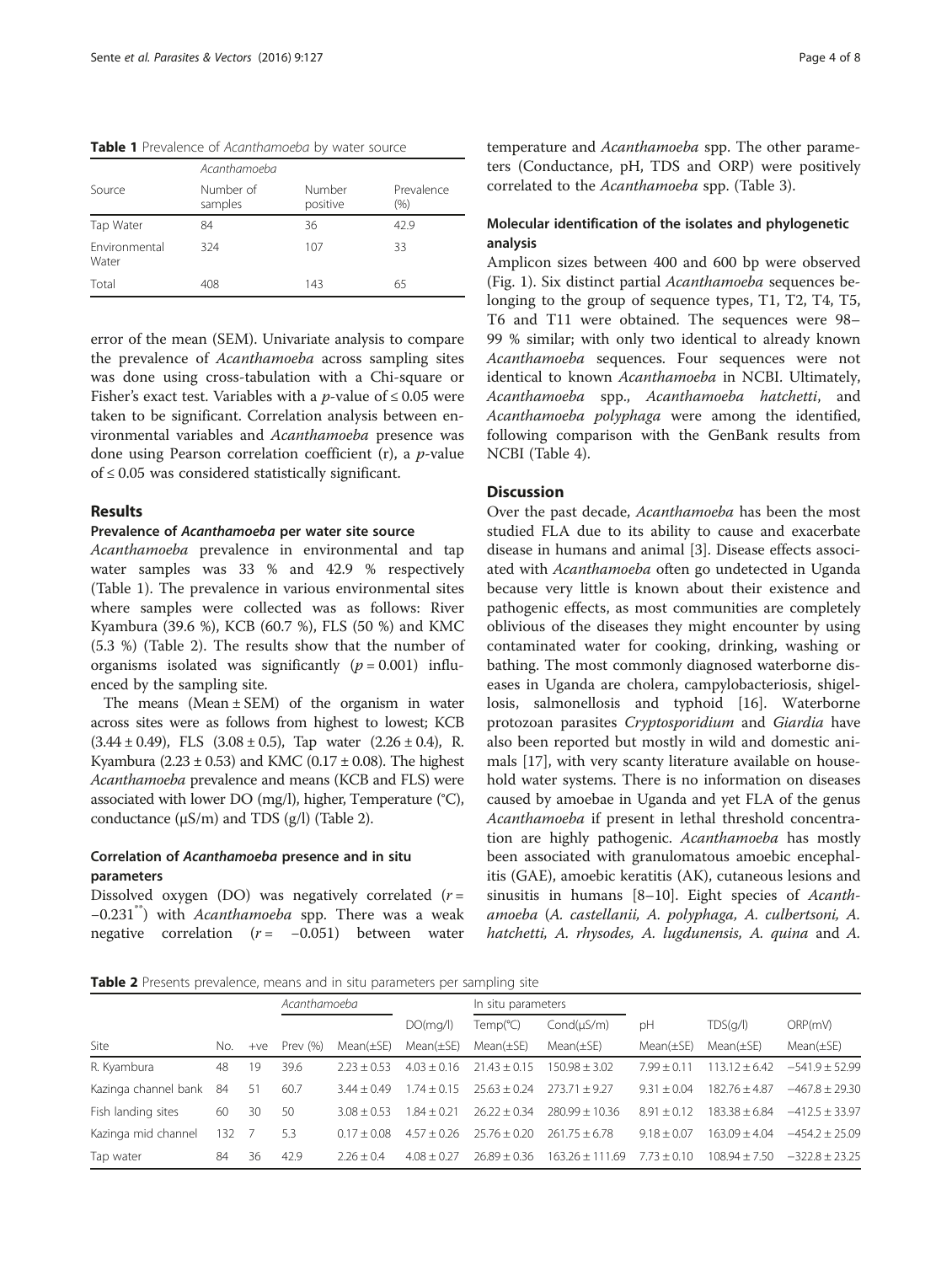|                        | Acanthamoeba         |                    |                    |  |
|------------------------|----------------------|--------------------|--------------------|--|
| Source                 | Number of<br>samples | Number<br>positive | Prevalence<br>(% ) |  |
| Tap Water              | 84                   | 36                 | 42.9               |  |
| Fnvironmental<br>Water | 324                  | 107                | 33                 |  |
| Total                  | 408                  | 143                | 65                 |  |

<span id="page-3-0"></span>Table 1 Prevalence of Acanthamoeba by water source

error of the mean (SEM). Univariate analysis to compare the prevalence of Acanthamoeba across sampling sites was done using cross-tabulation with a Chi-square or Fisher's exact test. Variables with a *p*-value of  $\leq 0.05$  were taken to be significant. Correlation analysis between environmental variables and Acanthamoeba presence was done using Pearson correlation coefficient (r), a p-value of ≤ 0.05 was considered statistically significant.

## Results

## Prevalence of Acanthamoeba per water site source

Acanthamoeba prevalence in environmental and tap water samples was 33 % and 42.9 % respectively (Table 1). The prevalence in various environmental sites where samples were collected was as follows: River Kyambura (39.6 %), KCB (60.7 %), FLS (50 %) and KMC (5.3 %) (Table 2). The results show that the number of organisms isolated was significantly  $(p = 0.001)$  influenced by the sampling site.

The means (Mean  $\pm$  SEM) of the organism in water across sites were as follows from highest to lowest; KCB  $(3.44 \pm 0.49)$ , FLS  $(3.08 \pm 0.5)$ , Tap water  $(2.26 \pm 0.4)$ , R. Kyambura (2.23  $\pm$  0.53) and KMC (0.17  $\pm$  0.08). The highest Acanthamoeba prevalence and means (KCB and FLS) were associated with lower DO (mg/l), higher, Temperature (°C), conductance  $(\mu S/m)$  and TDS  $(g/l)$  (Table 2).

## Correlation of Acanthamoeba presence and in situ parameters

Dissolved oxygen (DO) was negatively correlated  $(r =$ −0.231\*\*) with Acanthamoeba spp. There was a weak negative correlation  $(r = -0.051)$  between water temperature and Acanthamoeba spp. The other parameters (Conductance, pH, TDS and ORP) were positively correlated to the Acanthamoeba spp. (Table [3\)](#page-4-0).

## Molecular identification of the isolates and phylogenetic analysis

Amplicon sizes between 400 and 600 bp were observed (Fig. [1](#page-4-0)). Six distinct partial Acanthamoeba sequences belonging to the group of sequence types, T1, T2, T4, T5, T6 and T11 were obtained. The sequences were 98– 99 % similar; with only two identical to already known Acanthamoeba sequences. Four sequences were not identical to known Acanthamoeba in NCBI. Ultimately, Acanthamoeba spp., Acanthamoeba hatchetti, and Acanthamoeba polyphaga were among the identified, following comparison with the GenBank results from NCBI (Table [4](#page-5-0)).

## **Discussion**

Over the past decade, Acanthamoeba has been the most studied FLA due to its ability to cause and exacerbate disease in humans and animal [[3\]](#page-6-0). Disease effects associated with Acanthamoeba often go undetected in Uganda because very little is known about their existence and pathogenic effects, as most communities are completely oblivious of the diseases they might encounter by using contaminated water for cooking, drinking, washing or bathing. The most commonly diagnosed waterborne diseases in Uganda are cholera, campylobacteriosis, shigellosis, salmonellosis and typhoid [[16\]](#page-6-0). Waterborne protozoan parasites Cryptosporidium and Giardia have also been reported but mostly in wild and domestic animals [\[17\]](#page-6-0), with very scanty literature available on household water systems. There is no information on diseases caused by amoebae in Uganda and yet FLA of the genus Acanthamoeba if present in lethal threshold concentration are highly pathogenic. Acanthamoeba has mostly been associated with granulomatous amoebic encephalitis (GAE), amoebic keratitis (AK), cutaneous lesions and sinusitis in humans [[8](#page-6-0)–[10](#page-6-0)]. Eight species of Acanthamoeba (A. castellanii, A. polyphaga, A. culbertsoni, A. hatchetti, A. rhysodes, A. lugdunensis, A. quina and A.

Table 2 Presents prevalence, means and in situ parameters per sampling site

|                      |     |       | Acanthamoeba |                |                | In situ parameters |                  |                |                 |                    |
|----------------------|-----|-------|--------------|----------------|----------------|--------------------|------------------|----------------|-----------------|--------------------|
|                      |     |       |              |                | DO(mq/l)       | Temp(°C)           | Cond(µS/m)       | рH             | TDS(q/l)        | ORP(mV)            |
| Site                 | No. | $+ve$ | Prev $(% )$  | $Mean(\pm SE)$ | $Mean(\pm SE)$ | $Mean(\pm SE)$     | $Mean(\pm SE)$   | $Mean(\pm SE)$ | $Mean(\pm SE)$  | $Mean(\pm SE)$     |
| R. Kyambura          | 48  | 19    | 39.6         | $223 + 053$    | $403 + 016$    | $2143 + 015$       | $150.98 + 3.02$  | $799 + 01$     | $113.12 + 6.42$ | $-541.9 \pm 52.99$ |
| Kazinga channel bank | -84 | 51    | 60.7         | $3.44 + 0.49$  | $174 + 015$    | $7563 + 0.24$      | $77371 + 977$    | $931 + 004$    | $18276 + 487$   | $-467.8 + 29.30$   |
| Fish landing sites   | 60  | 30    | 50           | $308 + 053$    | 1 84 + 0 21    | $2622 + 034$       | $280.99 + 10.36$ | $891 + 012$    | $183.38 + 6.84$ | $-412.5 + 33.97$   |
| Kazinga mid channel  | 132 |       | 5.3          | $017 + 008$    | $4.57 + 0.26$  | $25.76 + 0.20$     | $261.75 + 6.78$  | $9.18 + 0.07$  | $163.09 + 4.04$ | $-454.2 + 25.09$   |
| Tap water            | 84  | 36    | 42.9         | $2.26 \pm 0.4$ | $4.08 + 0.27$  | $76.89 + 0.36$     | 163.26 + 111.69  | $73 + 010$     | $108.94 + 7.50$ | $-322.8 + 23.25$   |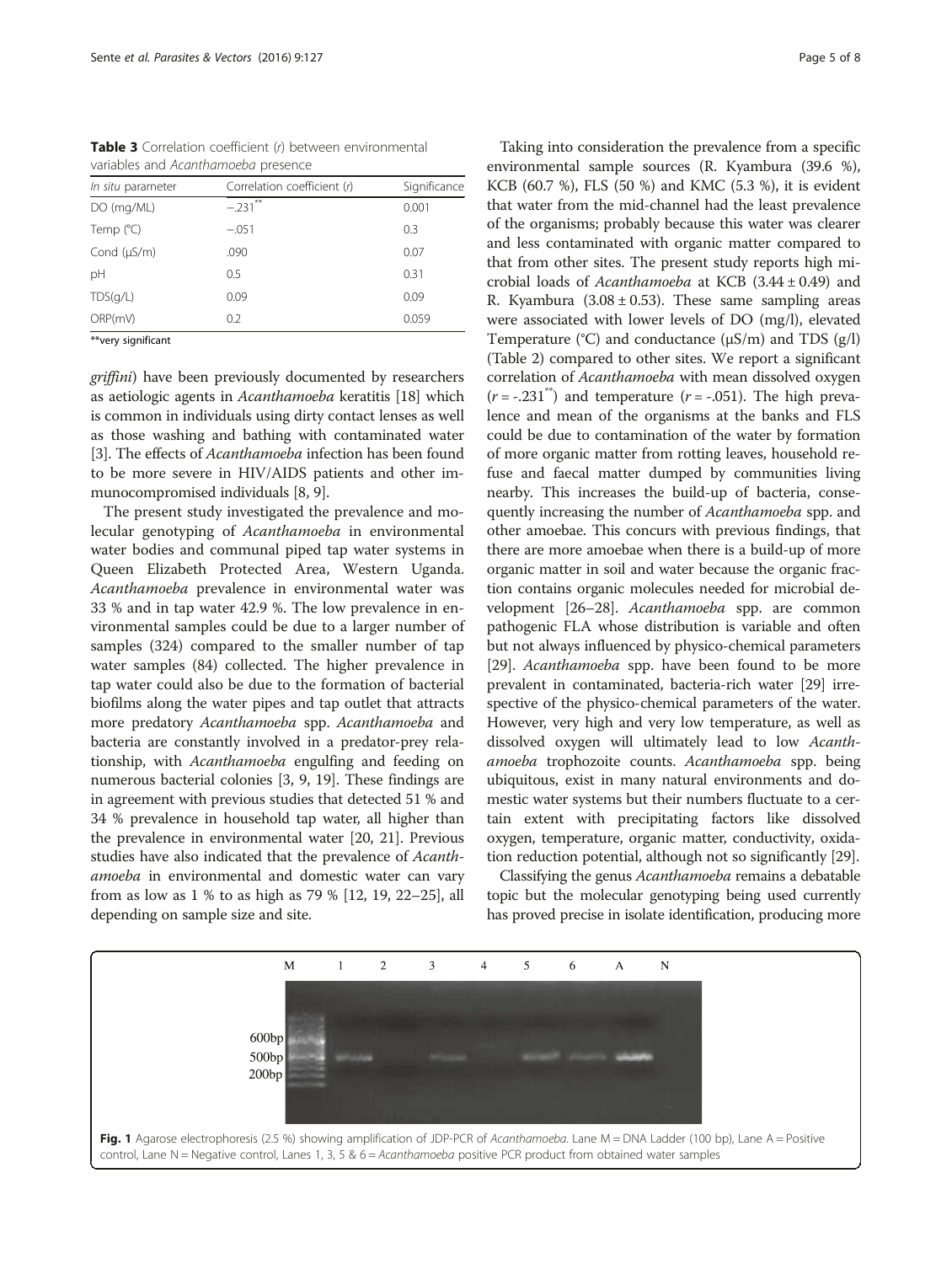<span id="page-4-0"></span>Table 3 Correlation coefficient (r) between environmental variables and Acanthamoeba presence

| In situ parameter  | Correlation coefficient (r) | Significance |  |  |
|--------------------|-----------------------------|--------------|--|--|
| DO (mg/ML)         | $-.231$ **                  | 0.001        |  |  |
| Temp $(^{\circ}C)$ | $-.051$                     | 0.3          |  |  |
| Cond $(\mu S/m)$   | .090                        | 0.07         |  |  |
| рH                 | 0.5                         | 0.31         |  |  |
| TDS(q/L)           | 0.09                        | 0.09         |  |  |
| ORP(mV)            | 0.2                         | 0.059        |  |  |

\*\*very significant

griffini) have been previously documented by researchers as aetiologic agents in Acanthamoeba keratitis [[18](#page-6-0)] which is common in individuals using dirty contact lenses as well as those washing and bathing with contaminated water [[3\]](#page-6-0). The effects of *Acanthamoeba* infection has been found to be more severe in HIV/AIDS patients and other immunocompromised individuals [[8](#page-6-0), [9](#page-6-0)].

The present study investigated the prevalence and molecular genotyping of Acanthamoeba in environmental water bodies and communal piped tap water systems in Queen Elizabeth Protected Area, Western Uganda. Acanthamoeba prevalence in environmental water was 33 % and in tap water 42.9 %. The low prevalence in environmental samples could be due to a larger number of samples (324) compared to the smaller number of tap water samples (84) collected. The higher prevalence in tap water could also be due to the formation of bacterial biofilms along the water pipes and tap outlet that attracts more predatory Acanthamoeba spp. Acanthamoeba and bacteria are constantly involved in a predator-prey relationship, with Acanthamoeba engulfing and feeding on numerous bacterial colonies [\[3, 9](#page-6-0), [19](#page-6-0)]. These findings are in agreement with previous studies that detected 51 % and 34 % prevalence in household tap water, all higher than the prevalence in environmental water [\[20, 21](#page-6-0)]. Previous studies have also indicated that the prevalence of Acanthamoeba in environmental and domestic water can vary from as low as 1 % to as high as 79 % [[12, 19](#page-6-0), [22](#page-6-0)–[25\]](#page-6-0), all depending on sample size and site.

Taking into consideration the prevalence from a specific environmental sample sources (R. Kyambura (39.6 %), KCB (60.7 %), FLS (50 %) and KMC (5.3 %), it is evident that water from the mid-channel had the least prevalence of the organisms; probably because this water was clearer and less contaminated with organic matter compared to that from other sites. The present study reports high microbial loads of Acanthamoeba at KCB (3.44 ± 0.49) and R. Kyambura  $(3.08 \pm 0.53)$ . These same sampling areas were associated with lower levels of DO (mg/l), elevated Temperature (°C) and conductance  $(\mu S/m)$  and TDS  $(g/l)$ (Table [2\)](#page-3-0) compared to other sites. We report a significant correlation of Acanthamoeba with mean dissolved oxygen  $(r = -.231^{**})$  and temperature  $(r = -.051)$ . The high prevalence and mean of the organisms at the banks and FLS could be due to contamination of the water by formation of more organic matter from rotting leaves, household refuse and faecal matter dumped by communities living nearby. This increases the build-up of bacteria, consequently increasing the number of *Acanthamoeba* spp. and other amoebae. This concurs with previous findings, that there are more amoebae when there is a build-up of more organic matter in soil and water because the organic fraction contains organic molecules needed for microbial development [[26](#page-6-0)–[28\]](#page-6-0). Acanthamoeba spp. are common pathogenic FLA whose distribution is variable and often but not always influenced by physico-chemical parameters [[29](#page-6-0)]. *Acanthamoeba* spp. have been found to be more prevalent in contaminated, bacteria-rich water [[29\]](#page-6-0) irrespective of the physico-chemical parameters of the water. However, very high and very low temperature, as well as dissolved oxygen will ultimately lead to low Acanthamoeba trophozoite counts. Acanthamoeba spp. being ubiquitous, exist in many natural environments and domestic water systems but their numbers fluctuate to a certain extent with precipitating factors like dissolved oxygen, temperature, organic matter, conductivity, oxidation reduction potential, although not so significantly [\[29\]](#page-6-0).

Classifying the genus Acanthamoeba remains a debatable topic but the molecular genotyping being used currently has proved precise in isolate identification, producing more

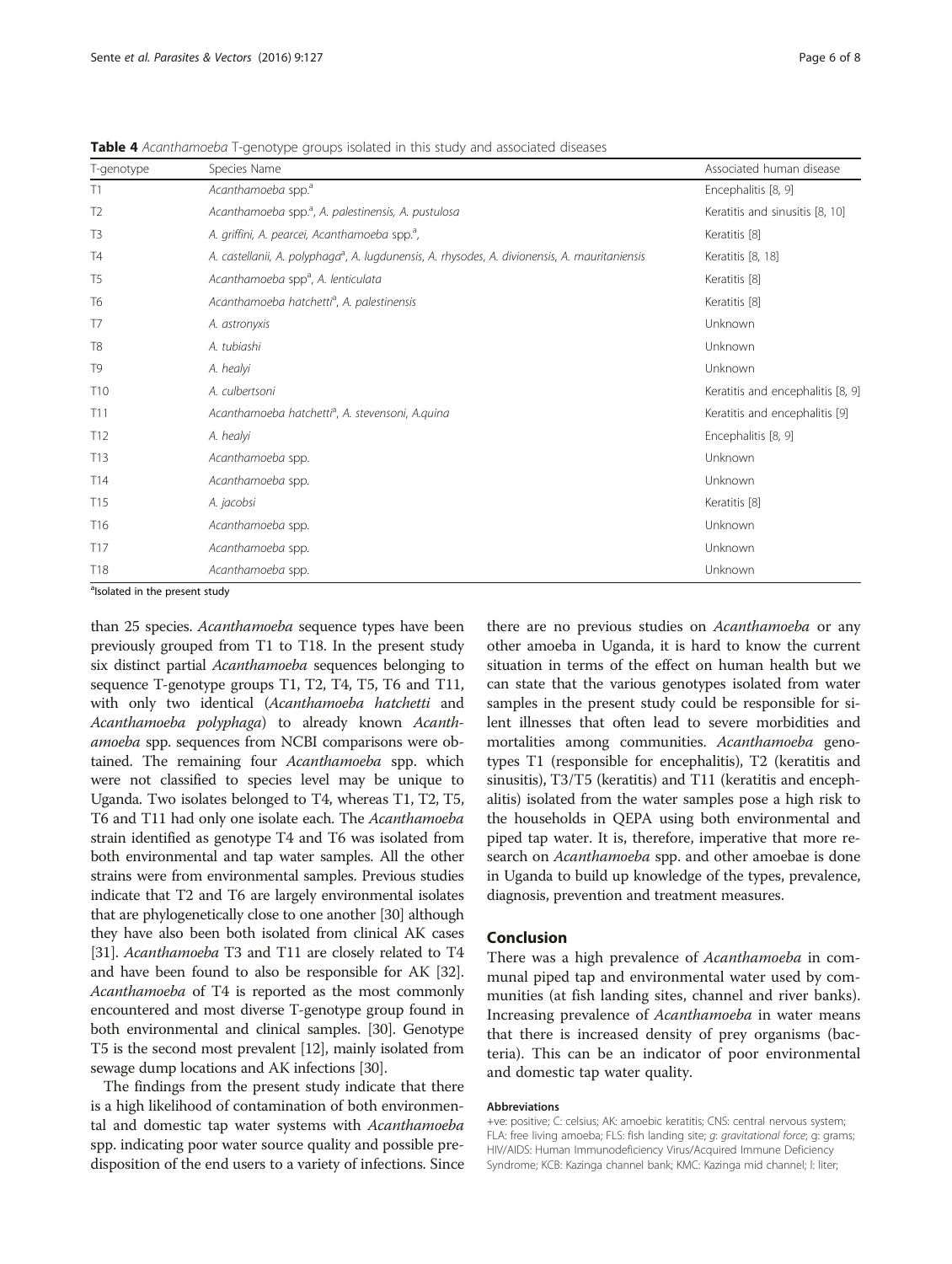| T-genotype      | Species Name                                                                                               | Associated human disease          |
|-----------------|------------------------------------------------------------------------------------------------------------|-----------------------------------|
| T1              | Acanthamoeba spp. <sup>a</sup>                                                                             | Encephalitis [8, 9]               |
| T <sub>2</sub>  | Acanthamoeba spp. <sup>a</sup> , A. palestinensis, A. pustulosa                                            | Keratitis and sinusitis [8, 10]   |
| T <sub>3</sub>  | A. griffini, A. pearcei, Acanthamoeba spp. <sup>a</sup> ,                                                  | Keratitis [8]                     |
| <b>T4</b>       | A. castellanii, A. polyphaga <sup>a</sup> , A. lugdunensis, A. rhysodes, A. divionensis, A. mauritaniensis | Keratitis [8, 18]                 |
| T <sub>5</sub>  | Acanthamoeba spp <sup>a</sup> , A. lenticulata                                                             | Keratitis [8]                     |
| T <sub>6</sub>  | Acanthamoeba hatchetti <sup>a</sup> , A. palestinensis                                                     | Keratitis [8]                     |
| T <sub>7</sub>  | A. astronyxis                                                                                              | Unknown                           |
| T <sub>8</sub>  | A. tubiashi                                                                                                | Unknown                           |
| T <sub>9</sub>  | A. healyi                                                                                                  | Unknown                           |
| T <sub>10</sub> | A. culbertsoni                                                                                             | Keratitis and encephalitis [8, 9] |
| T11             | Acanthamoeba hatchetti <sup>a</sup> , A. stevensoni, A.quina                                               | Keratitis and encephalitis [9]    |
| T <sub>12</sub> | A. healyi                                                                                                  | Encephalitis [8, 9]               |
| T <sub>13</sub> | Acanthamoeba spp.                                                                                          | Unknown                           |
| T <sub>14</sub> | Acanthamoeba spp.                                                                                          | Unknown                           |
| T <sub>15</sub> | A. jacobsi                                                                                                 | Keratitis [8]                     |
| T <sub>16</sub> | Acanthamoeba spp.                                                                                          | Unknown                           |
| T <sub>17</sub> | Acanthamoeba spp.                                                                                          | Unknown                           |
| T18             | Acanthamoeba spp.                                                                                          | Unknown                           |

<span id="page-5-0"></span>Table 4 Acanthamoeba T-genotype groups isolated in this study and associated diseases

<sup>a</sup>lsolated in the present study

than 25 species. Acanthamoeba sequence types have been previously grouped from T1 to T18. In the present study six distinct partial Acanthamoeba sequences belonging to sequence T-genotype groups T1, T2, T4, T5, T6 and T11, with only two identical (Acanthamoeba hatchetti and Acanthamoeba polyphaga) to already known Acanthamoeba spp. sequences from NCBI comparisons were obtained. The remaining four *Acanthamoeba* spp. which were not classified to species level may be unique to Uganda. Two isolates belonged to T4, whereas T1, T2, T5, T6 and T11 had only one isolate each. The Acanthamoeba strain identified as genotype T4 and T6 was isolated from both environmental and tap water samples. All the other strains were from environmental samples. Previous studies indicate that T2 and T6 are largely environmental isolates that are phylogenetically close to one another [[30](#page--1-0)] although they have also been both isolated from clinical AK cases [[31](#page--1-0)]. Acanthamoeba T3 and T11 are closely related to T4 and have been found to also be responsible for AK [[32](#page--1-0)]. Acanthamoeba of T4 is reported as the most commonly encountered and most diverse T-genotype group found in both environmental and clinical samples. [\[30\]](#page--1-0). Genotype T5 is the second most prevalent [\[12\]](#page-6-0), mainly isolated from sewage dump locations and AK infections [[30](#page--1-0)].

The findings from the present study indicate that there is a high likelihood of contamination of both environmental and domestic tap water systems with Acanthamoeba spp. indicating poor water source quality and possible predisposition of the end users to a variety of infections. Since

there are no previous studies on Acanthamoeba or any other amoeba in Uganda, it is hard to know the current situation in terms of the effect on human health but we can state that the various genotypes isolated from water samples in the present study could be responsible for silent illnesses that often lead to severe morbidities and mortalities among communities. Acanthamoeba genotypes T1 (responsible for encephalitis), T2 (keratitis and sinusitis), T3/T5 (keratitis) and T11 (keratitis and encephalitis) isolated from the water samples pose a high risk to the households in QEPA using both environmental and piped tap water. It is, therefore, imperative that more research on Acanthamoeba spp. and other amoebae is done in Uganda to build up knowledge of the types, prevalence, diagnosis, prevention and treatment measures.

## Conclusion

There was a high prevalence of Acanthamoeba in communal piped tap and environmental water used by communities (at fish landing sites, channel and river banks). Increasing prevalence of Acanthamoeba in water means that there is increased density of prey organisms (bacteria). This can be an indicator of poor environmental and domestic tap water quality.

#### Abbreviations

+ve: positive; C: celsius; AK: amoebic keratitis; CNS: central nervous system; FLA: free living amoeba; FLS: fish landing site; g: gravitational force; g: grams; HIV/AIDS: Human Immunodeficiency Virus/Acquired Immune Deficiency Syndrome; KCB: Kazinga channel bank; KMC: Kazinga mid channel; l: liter;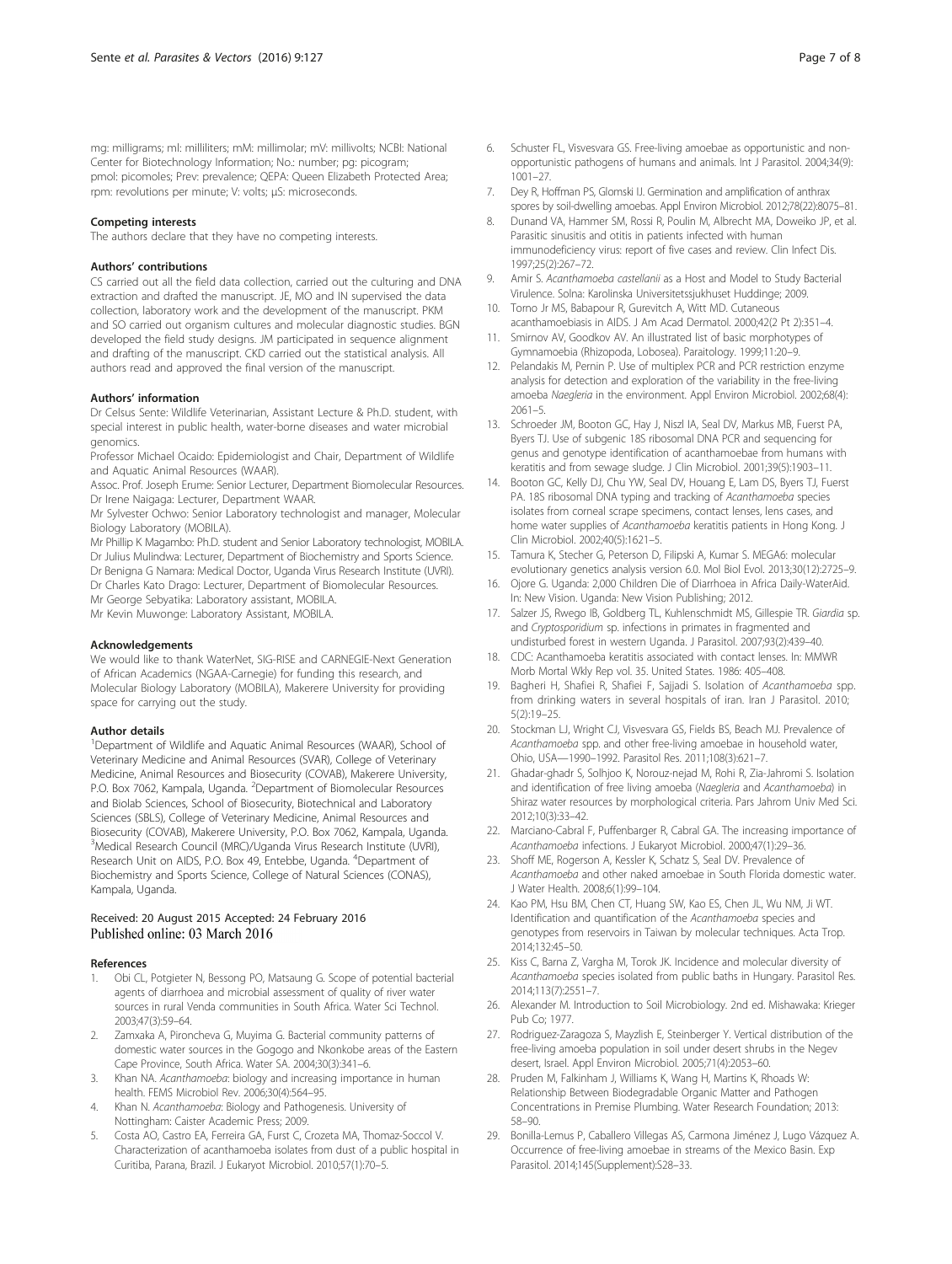<span id="page-6-0"></span>mg: milligrams; ml: milliliters; mM: millimolar; mV: millivolts; NCBI: National Center for Biotechnology Information; No.: number; pg: picogram; pmol: picomoles; Prev: prevalence; QEPA: Queen Elizabeth Protected Area; rpm: revolutions per minute; V: volts; μS: microseconds.

#### Competing interests

The authors declare that they have no competing interests.

#### Authors' contributions

CS carried out all the field data collection, carried out the culturing and DNA extraction and drafted the manuscript. JE, MO and IN supervised the data collection, laboratory work and the development of the manuscript. PKM and SO carried out organism cultures and molecular diagnostic studies. BGN developed the field study designs. JM participated in sequence alignment and drafting of the manuscript. CKD carried out the statistical analysis. All authors read and approved the final version of the manuscript.

#### Authors' information

Dr Celsus Sente: Wildlife Veterinarian, Assistant Lecture & Ph.D. student, with special interest in public health, water-borne diseases and water microbial genomics.

Professor Michael Ocaido: Epidemiologist and Chair, Department of Wildlife and Aquatic Animal Resources (WAAR).

Assoc. Prof. Joseph Erume: Senior Lecturer, Department Biomolecular Resources. Dr Irene Naigaga: Lecturer, Department WAAR.

Mr Sylvester Ochwo: Senior Laboratory technologist and manager, Molecular Biology Laboratory (MOBILA).

Mr Phillip K Magambo: Ph.D. student and Senior Laboratory technologist, MOBILA. Dr Julius Mulindwa: Lecturer, Department of Biochemistry and Sports Science.

Dr Benigna G Namara: Medical Doctor, Uganda Virus Research Institute (UVRI). Dr Charles Kato Drago: Lecturer, Department of Biomolecular Resources.

Mr George Sebyatika: Laboratory assistant, MOBILA. Mr Kevin Muwonge: Laboratory Assistant, MOBILA.

#### Acknowledgements

We would like to thank WaterNet, SIG-RISE and CARNEGIE-Next Generation of African Academics (NGAA-Carnegie) for funding this research, and Molecular Biology Laboratory (MOBILA), Makerere University for providing space for carrying out the study.

#### Author details

<sup>1</sup>Department of Wildlife and Aquatic Animal Resources (WAAR), School of Veterinary Medicine and Animal Resources (SVAR), College of Veterinary Medicine, Animal Resources and Biosecurity (COVAB), Makerere University, P.O. Box 7062, Kampala, Uganda. <sup>2</sup>Department of Biomolecular Resources and Biolab Sciences, School of Biosecurity, Biotechnical and Laboratory Sciences (SBLS), College of Veterinary Medicine, Animal Resources and Biosecurity (COVAB), Makerere University, P.O. Box 7062, Kampala, Uganda. <sup>3</sup>Medical Research Council (MRC)/Uganda Virus Research Institute (UVRI), Research Unit on AIDS, P.O. Box 49, Entebbe, Uganda. <sup>4</sup>Department of Biochemistry and Sports Science, College of Natural Sciences (CONAS), Kampala, Uganda.

## Received: 20 August 2015 Accepted: 24 February 2016 Published online: 03 March 2016

#### References

- 1. Obi CL, Potgieter N, Bessong PO, Matsaung G. Scope of potential bacterial agents of diarrhoea and microbial assessment of quality of river water sources in rural Venda communities in South Africa. Water Sci Technol. 2003;47(3):59–64.
- Zamxaka A, Pironcheva G, Muyima G. Bacterial community patterns of domestic water sources in the Gogogo and Nkonkobe areas of the Eastern Cape Province, South Africa. Water SA. 2004;30(3):341–6.
- 3. Khan NA. Acanthamoeba: biology and increasing importance in human health. FEMS Microbiol Rev. 2006;30(4):564–95.
- Khan N. Acanthamoeba: Biology and Pathogenesis. University of Nottingham: Caister Academic Press; 2009.
- 5. Costa AO, Castro EA, Ferreira GA, Furst C, Crozeta MA, Thomaz-Soccol V. Characterization of acanthamoeba isolates from dust of a public hospital in Curitiba, Parana, Brazil. J Eukaryot Microbiol. 2010;57(1):70–5.
- 6. Schuster FL, Visvesvara GS. Free-living amoebae as opportunistic and nonopportunistic pathogens of humans and animals. Int J Parasitol. 2004;34(9): 1001–27.
- 7. Dey R, Hoffman PS, Glomski IJ. Germination and amplification of anthrax spores by soil-dwelling amoebas. Appl Environ Microbiol. 2012;78(22):8075–81.
- 8. Dunand VA, Hammer SM, Rossi R, Poulin M, Albrecht MA, Doweiko JP, et al. Parasitic sinusitis and otitis in patients infected with human immunodeficiency virus: report of five cases and review. Clin Infect Dis. 1997;25(2):267–72.
- 9. Amir S. Acanthamoeba castellanii as a Host and Model to Study Bacterial Virulence. Solna: Karolinska Universitetssjukhuset Huddinge; 2009.
- 10. Torno Jr MS, Babapour R, Gurevitch A, Witt MD. Cutaneous acanthamoebiasis in AIDS. J Am Acad Dermatol. 2000;42(2 Pt 2):351–4. 11. Smirnov AV, Goodkov AV. An illustrated list of basic morphotypes of
- Gymnamoebia (Rhizopoda, Lobosea). Paraitology. 1999;11:20–9.
- 12. Pelandakis M, Pernin P. Use of multiplex PCR and PCR restriction enzyme analysis for detection and exploration of the variability in the free-living amoeba Naegleria in the environment. Appl Environ Microbiol. 2002;68(4): 2061–5.
- 13. Schroeder JM, Booton GC, Hay J, Niszl IA, Seal DV, Markus MB, Fuerst PA, Byers TJ. Use of subgenic 18S ribosomal DNA PCR and sequencing for genus and genotype identification of acanthamoebae from humans with keratitis and from sewage sludge. J Clin Microbiol. 2001;39(5):1903–11.
- 14. Booton GC, Kelly DJ, Chu YW, Seal DV, Houang E, Lam DS, Byers TJ, Fuerst PA. 18S ribosomal DNA typing and tracking of Acanthamoeba species isolates from corneal scrape specimens, contact lenses, lens cases, and home water supplies of Acanthamoeba keratitis patients in Hong Kong. J Clin Microbiol. 2002;40(5):1621–5.
- 15. Tamura K, Stecher G, Peterson D, Filipski A, Kumar S. MEGA6: molecular evolutionary genetics analysis version 6.0. Mol Biol Evol. 2013;30(12):2725–9.
- 16. Ojore G. Uganda: 2,000 Children Die of Diarrhoea in Africa Daily-WaterAid. In: New Vision. Uganda: New Vision Publishing; 2012.
- 17. Salzer JS, Rwego IB, Goldberg TL, Kuhlenschmidt MS, Gillespie TR. Giardia sp. and Cryptosporidium sp. infections in primates in fragmented and undisturbed forest in western Uganda. J Parasitol. 2007;93(2):439–40.
- 18. CDC: Acanthamoeba keratitis associated with contact lenses. In: MMWR Morb Mortal Wkly Rep vol. 35. United States. 1986: 405–408.
- 19. Bagheri H, Shafiei R, Shafiei F, Sajjadi S. Isolation of Acanthamoeba spp. from drinking waters in several hospitals of iran. Iran J Parasitol. 2010; 5(2):19–25.
- 20. Stockman LJ, Wright CJ, Visvesvara GS, Fields BS, Beach MJ. Prevalence of Acanthamoeba spp. and other free-living amoebae in household water, Ohio, USA—1990–1992. Parasitol Res. 2011;108(3):621–7.
- 21. Ghadar-ghadr S, Solhjoo K, Norouz-nejad M, Rohi R, Zia-Jahromi S. Isolation and identification of free living amoeba (Naegleria and Acanthamoeba) in Shiraz water resources by morphological criteria. Pars Jahrom Univ Med Sci. 2012;10(3):33–42.
- 22. Marciano-Cabral F, Puffenbarger R, Cabral GA. The increasing importance of Acanthamoeba infections. J Eukaryot Microbiol. 2000;47(1):29–36.
- 23. Shoff ME, Rogerson A, Kessler K, Schatz S, Seal DV. Prevalence of Acanthamoeba and other naked amoebae in South Florida domestic water. J Water Health. 2008;6(1):99–104.
- 24. Kao PM, Hsu BM, Chen CT, Huang SW, Kao ES, Chen JL, Wu NM, Ji WT. Identification and quantification of the Acanthamoeba species and genotypes from reservoirs in Taiwan by molecular techniques. Acta Trop. 2014;132:45–50.
- 25. Kiss C, Barna Z, Vargha M, Torok JK. Incidence and molecular diversity of Acanthamoeba species isolated from public baths in Hungary. Parasitol Res. 2014;113(7):2551–7.
- 26. Alexander M. Introduction to Soil Microbiology. 2nd ed. Mishawaka: Krieger Pub Co; 1977.
- 27. Rodriguez-Zaragoza S, Mayzlish E, Steinberger Y. Vertical distribution of the free-living amoeba population in soil under desert shrubs in the Negev desert, Israel. Appl Environ Microbiol. 2005;71(4):2053–60.
- 28. Pruden M, Falkinham J, Williams K, Wang H, Martins K, Rhoads W: Relationship Between Biodegradable Organic Matter and Pathogen Concentrations in Premise Plumbing. Water Research Foundation; 2013: 58–90.
- 29. Bonilla-Lemus P, Caballero Villegas AS, Carmona Jiménez J, Lugo Vázquez A. Occurrence of free-living amoebae in streams of the Mexico Basin. Exp Parasitol. 2014;145(Supplement):S28–33.